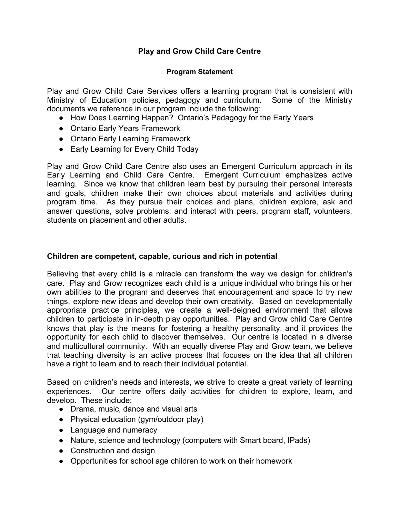# **Play and Grow Child Care Centre**

#### **Program Statement**

Play and Grow Child Care Services offers a learning program that is consistent with Ministry of Education policies, pedagogy and curriculum. Some of the Ministry documents we reference in our program include the following:

- How Does Learning Happen? Ontario's Pedagogy for the Early Years
- Ontario Early Years Framework
- Ontario Early Learning Framework
- Early Learning for Every Child Today

Play and Grow Child Care Centre also uses an Emergent Curriculum approach in its Early Learning and Child Care Centre. Emergent Curriculum emphasizes active learning. Since we know that children learn best by pursuing their personal interests and goals, children make their own choices about materials and activities during program time. As they pursue their choices and plans, children explore, ask and answer questions, solve problems, and interact with peers, program staff, volunteers, students on placement and other adults.

#### **Children are competent, capable, curious and rich in potential**

Believing that every child is a miracle can transform the way we design for children's care. Play and Grow recognizes each child is a unique individual who brings his or her own abilities to the program and deserves that encouragement and space to try new things, explore new ideas and develop their own creativity. Based on developmentally appropriate practice principles, we create a well-deigned environment that allows children to participate in in-depth play opportunities. Play and Grow child Care Centre knows that play is the means for fostering a healthy personality, and it provides the opportunity for each child to discover themselves. Our centre is located in a diverse and multicultural community. With an equally diverse Play and Grow team, we believe that teaching diversity is an active process that focuses on the idea that all children have a right to learn and to reach their individual potential.

Based on children's needs and interests, we strive to create a great variety of learning experiences. Our centre offers daily activities for children to explore, learn, and develop. These include:

- Drama, music, dance and visual arts
- Physical education (gym/outdoor play)
- Language and numeracy
- Nature, science and technology (computers with Smart board, IPads)
- Construction and design
- Opportunities for school age children to work on their homework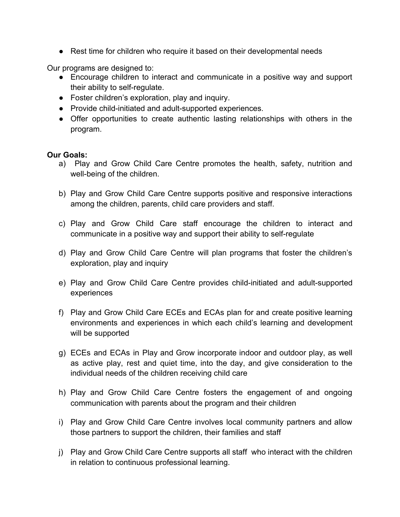• Rest time for children who require it based on their developmental needs

Our programs are designed to:

- Encourage children to interact and communicate in a positive way and support their ability to self-regulate.
- Foster children's exploration, play and inquiry.
- Provide child-initiated and adult-supported experiences.
- Offer opportunities to create authentic lasting relationships with others in the program.

### **Our Goals:**

- a) Play and Grow Child Care Centre promotes the health, safety, nutrition and well-being of the children.
- b) Play and Grow Child Care Centre supports positive and responsive interactions among the children, parents, child care providers and staff.
- c) Play and Grow Child Care staff encourage the children to interact and communicate in a positive way and support their ability to self-regulate
- d) Play and Grow Child Care Centre will plan programs that foster the children's exploration, play and inquiry
- e) Play and Grow Child Care Centre provides child-initiated and adult-supported experiences
- f) Play and Grow Child Care ECEs and ECAs plan for and create positive learning environments and experiences in which each child's learning and development will be supported
- g) ECEs and ECAs in Play and Grow incorporate indoor and outdoor play, as well as active play, rest and quiet time, into the day, and give consideration to the individual needs of the children receiving child care
- h) Play and Grow Child Care Centre fosters the engagement of and ongoing communication with parents about the program and their children
- i) Play and Grow Child Care Centre involves local community partners and allow those partners to support the children, their families and staff
- j) Play and Grow Child Care Centre supports all staff who interact with the children in relation to continuous professional learning.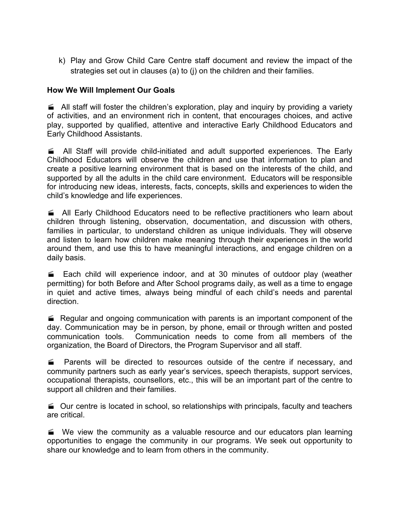k) Play and Grow Child Care Centre staff document and review the impact of the strategies set out in clauses (a) to (j) on the children and their families.

## **How We Will Implement Our Goals**

All staff will foster the children's exploration, play and inquiry by providing a variety of activities, and an environment rich in content, that encourages choices, and active play, supported by qualified, attentive and interactive Early Childhood Educators and Early Childhood Assistants.

 All Staff will provide child-initiated and adult supported experiences. The Early Childhood Educators will observe the children and use that information to plan and create a positive learning environment that is based on the interests of the child, and supported by all the adults in the child care environment. Educators will be responsible for introducing new ideas, interests, facts, concepts, skills and experiences to widen the child's knowledge and life experiences.

 All Early Childhood Educators need to be reflective practitioners who learn about children through listening, observation, documentation, and discussion with others, families in particular, to understand children as unique individuals. They will observe and listen to learn how children make meaning through their experiences in the world around them, and use this to have meaningful interactions, and engage children on a daily basis.

 Each child will experience indoor, and at 30 minutes of outdoor play (weather permitting) for both Before and After School programs daily, as well as a time to engage in quiet and active times, always being mindful of each child's needs and parental direction.

 Regular and ongoing communication with parents is an important component of the day. Communication may be in person, by phone, email or through written and posted communication tools. Communication needs to come from all members of the organization, the Board of Directors, the Program Supervisor and all staff.

**EXECUTE:** Parents will be directed to resources outside of the centre if necessary, and community partners such as early year's services, speech therapists, support services, occupational therapists, counsellors, etc., this will be an important part of the centre to support all children and their families.

■ Our centre is located in school, so relationships with principals, faculty and teachers are critical.

We view the community as a valuable resource and our educators plan learning opportunities to engage the community in our programs. We seek out opportunity to share our knowledge and to learn from others in the community.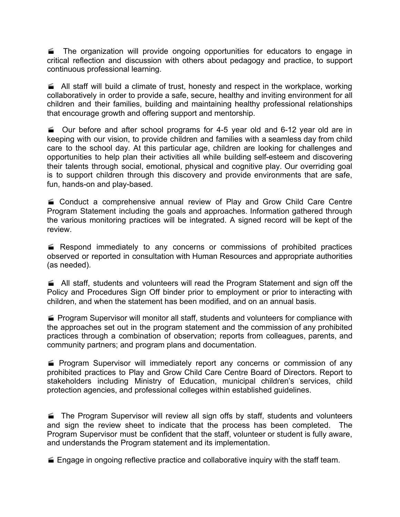The organization will provide ongoing opportunities for educators to engage in critical reflection and discussion with others about pedagogy and practice, to support continuous professional learning.

All staff will build a climate of trust, honesty and respect in the workplace, working collaboratively in order to provide a safe, secure, healthy and inviting environment for all children and their families, building and maintaining healthy professional relationships that encourage growth and offering support and mentorship.

 $\approx$  Our before and after school programs for 4-5 year old and 6-12 year old are in keeping with our vision, to provide children and families with a seamless day from child care to the school day. At this particular age, children are looking for challenges and opportunities to help plan their activities all while building self-esteem and discovering their talents through social, emotional, physical and cognitive play. Our overriding goal is to support children through this discovery and provide environments that are safe, fun, hands-on and play-based.

■ Conduct a comprehensive annual review of Play and Grow Child Care Centre Program Statement including the goals and approaches. Information gathered through the various monitoring practices will be integrated. A signed record will be kept of the review.

E Respond immediately to any concerns or commissions of prohibited practices observed or reported in consultation with Human Resources and appropriate authorities (as needed).

All staff, students and volunteers will read the Program Statement and sign off the Policy and Procedures Sign Off binder prior to employment or prior to interacting with children, and when the statement has been modified, and on an annual basis.

**Program Supervisor will monitor all staff, students and volunteers for compliance with** the approaches set out in the program statement and the commission of any prohibited practices through a combination of observation; reports from colleagues, parents, and community partners; and program plans and documentation.

**Program Supervisor will immediately report any concerns or commission of any** prohibited practices to Play and Grow Child Care Centre Board of Directors. Report to stakeholders including Ministry of Education, municipal children's services, child protection agencies, and professional colleges within established guidelines.

**The Program Supervisor will review all sign offs by staff, students and volunteers** and sign the review sheet to indicate that the process has been completed. The Program Supervisor must be confident that the staff, volunteer or student is fully aware, and understands the Program statement and its implementation.

Engage in ongoing reflective practice and collaborative inquiry with the staff team.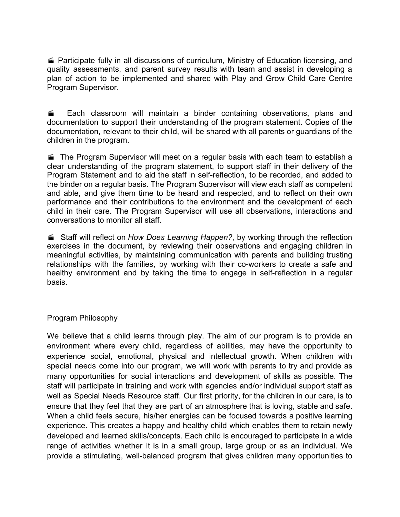Participate fully in all discussions of curriculum, Ministry of Education licensing, and quality assessments, and parent survey results with team and assist in developing a plan of action to be implemented and shared with Play and Grow Child Care Centre Program Supervisor.

**Each classroom will maintain a binder containing observations, plans and** documentation to support their understanding of the program statement. Copies of the documentation, relevant to their child, will be shared with all parents or guardians of the children in the program.

The Program Supervisor will meet on a regular basis with each team to establish a clear understanding of the program statement, to support staff in their delivery of the Program Statement and to aid the staff in self-reflection, to be recorded, and added to the binder on a regular basis. The Program Supervisor will view each staff as competent and able, and give them time to be heard and respected, and to reflect on their own performance and their contributions to the environment and the development of each child in their care. The Program Supervisor will use all observations, interactions and conversations to monitor all staff.

 Staff will reflect on *How Does Learning Happen?*, by working through the reflection exercises in the document, by reviewing their observations and engaging children in meaningful activities, by maintaining communication with parents and building trusting relationships with the families, by working with their co-workers to create a safe and healthy environment and by taking the time to engage in self-reflection in a regular basis.

### Program Philosophy

We believe that a child learns through play. The aim of our program is to provide an environment where every child, regardless of abilities, may have the opportunity to experience social, emotional, physical and intellectual growth. When children with special needs come into our program, we will work with parents to try and provide as many opportunities for social interactions and development of skills as possible. The staff will participate in training and work with agencies and/or individual support staff as well as Special Needs Resource staff. Our first priority, for the children in our care, is to ensure that they feel that they are part of an atmosphere that is loving, stable and safe. When a child feels secure, his/her energies can be focused towards a positive learning experience. This creates a happy and healthy child which enables them to retain newly developed and learned skills/concepts. Each child is encouraged to participate in a wide range of activities whether it is in a small group, large group or as an individual. We provide a stimulating, well-balanced program that gives children many opportunities to